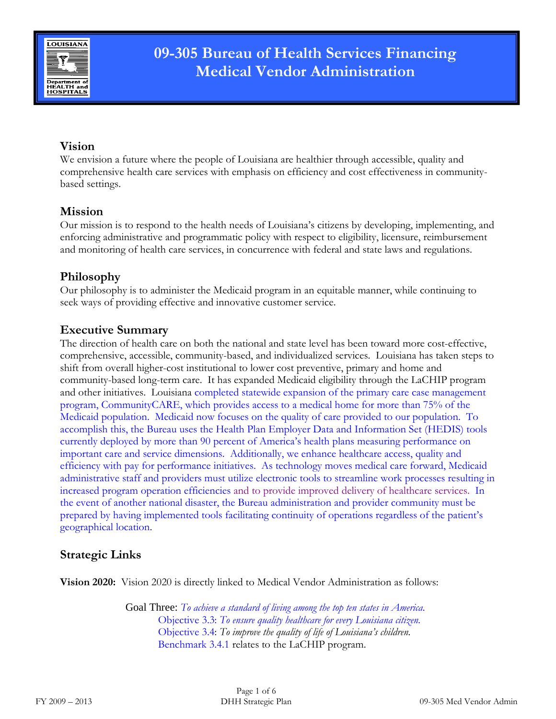

## **Vision**

We envision a future where the people of Louisiana are healthier through accessible, quality and comprehensive health care services with emphasis on efficiency and cost effectiveness in communitybased settings.

## **Mission**

Our mission is to respond to the health needs of Louisiana's citizens by developing, implementing, and enforcing administrative and programmatic policy with respect to eligibility, licensure, reimbursement and monitoring of health care services, in concurrence with federal and state laws and regulations.

## **Philosophy**

Our philosophy is to administer the Medicaid program in an equitable manner, while continuing to seek ways of providing effective and innovative customer service.

### **Executive Summary**

The direction of health care on both the national and state level has been toward more cost-effective, comprehensive, accessible, community-based, and individualized services. Louisiana has taken steps to shift from overall higher-cost institutional to lower cost preventive, primary and home and community-based long-term care. It has expanded Medicaid eligibility through the LaCHIP program and other initiatives. Louisiana completed statewide expansion of the primary care case management program, CommunityCARE, which provides access to a medical home for more than 75% of the Medicaid population. Medicaid now focuses on the quality of care provided to our population. To accomplish this, the Bureau uses the Health Plan Employer Data and Information Set (HEDIS) tools currently deployed by more than 90 percent of America's health plans measuring performance on important care and service dimensions. Additionally, we enhance healthcare access, quality and efficiency with pay for performance initiatives. As technology moves medical care forward, Medicaid administrative staff and providers must utilize electronic tools to streamline work processes resulting in increased program operation efficiencies and to provide improved delivery of healthcare services. In the event of another national disaster, the Bureau administration and provider community must be prepared by having implemented tools facilitating continuity of operations regardless of the patient's geographical location.

## **Strategic Links**

**Vision 2020:** Vision 2020 is directly linked to Medical Vendor Administration as follows:

Goal Three: *To achieve a standard of living among the top ten states in America.* Objective 3.3: *To ensure quality healthcare for every Louisiana citizen.* Objective 3.4: *To improve the quality of life of Louisiana's children.* Benchmark 3.4.1 relates to the LaCHIP program.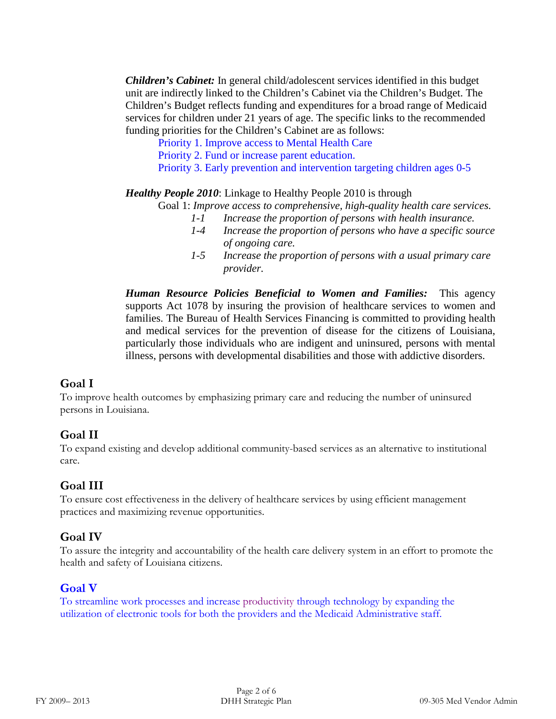*Children's Cabinet:* In general child/adolescent services identified in this budget unit are indirectly linked to the Children's Cabinet via the Children's Budget. The Children's Budget reflects funding and expenditures for a broad range of Medicaid services for children under 21 years of age. The specific links to the recommended funding priorities for the Children's Cabinet are as follows:

Priority 1. Improve access to Mental Health Care

Priority 2. Fund or increase parent education.

Priority 3. Early prevention and intervention targeting children ages 0-5

*Healthy People 2010*: Linkage to Healthy People 2010 is through

Goal 1: *Improve access to comprehensive, high-quality health care services.*

- *1-1 Increase the proportion of persons with health insurance.*
- *1-4 Increase the proportion of persons who have a specific source of ongoing care.*
- *1-5 Increase the proportion of persons with a usual primary care provider.*

*Human Resource Policies Beneficial to Women and Families:* This agency supports Act 1078 by insuring the provision of healthcare services to women and families. The Bureau of Health Services Financing is committed to providing health and medical services for the prevention of disease for the citizens of Louisiana, particularly those individuals who are indigent and uninsured, persons with mental illness, persons with developmental disabilities and those with addictive disorders.

#### **Goal I**

To improve health outcomes by emphasizing primary care and reducing the number of uninsured persons in Louisiana.

#### **Goal II**

To expand existing and develop additional community-based services as an alternative to institutional care.

## **Goal III**

To ensure cost effectiveness in the delivery of healthcare services by using efficient management practices and maximizing revenue opportunities.

#### **Goal IV**

To assure the integrity and accountability of the health care delivery system in an effort to promote the health and safety of Louisiana citizens.

#### **Goal V**

To streamline work processes and increase productivity through technology by expanding the utilization of electronic tools for both the providers and the Medicaid Administrative staff.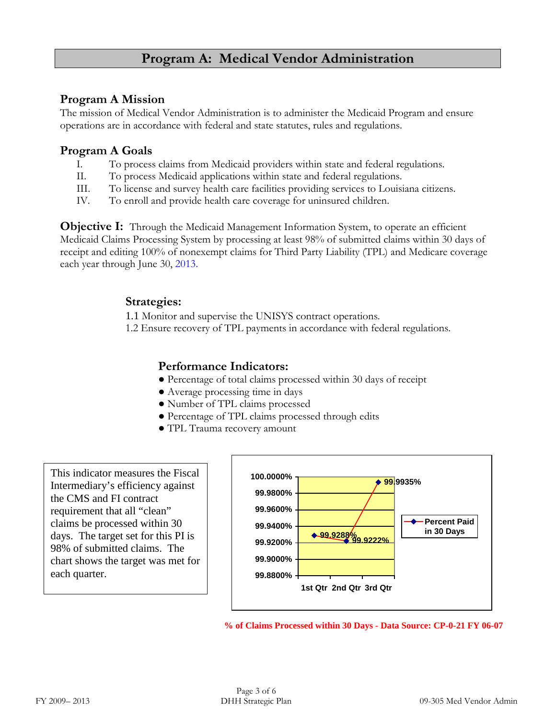# **Program A: Medical Vendor Administration**

### **Program A Mission**

The mission of Medical Vendor Administration is to administer the Medicaid Program and ensure operations are in accordance with federal and state statutes, rules and regulations.

#### **Program A Goals**

- I. To process claims from Medicaid providers within state and federal regulations.
- II. To process Medicaid applications within state and federal regulations.
- III. To license and survey health care facilities providing services to Louisiana citizens.
- IV. To enroll and provide health care coverage for uninsured children.

**Objective I:** Through the Medicaid Management Information System, to operate an efficient Medicaid Claims Processing System by processing at least 98% of submitted claims within 30 days of receipt and editing 100% of nonexempt claims for Third Party Liability (TPL) and Medicare coverage each year through June 30, 2013.

#### **Strategies:**

1.1 Monitor and supervise the UNISYS contract operations.

1.2 Ensure recovery of TPL payments in accordance with federal regulations.

### **Performance Indicators:**

- Percentage of total claims processed within 30 days of receipt
- Average processing time in days
- Number of TPL claims processed
- Percentage of TPL claims processed through edits
- TPL Trauma recovery amount

This indicator measures the Fiscal Intermediary's efficiency against the CMS and FI contract requirement that all "clean" claims be processed within 30 days. The target set for this PI is 98% of submitted claims. The chart shows the target was met for each quarter.



**<sup>%</sup> of Claims Processed within 30 Days - Data Source: CP-0-21 FY 06-07**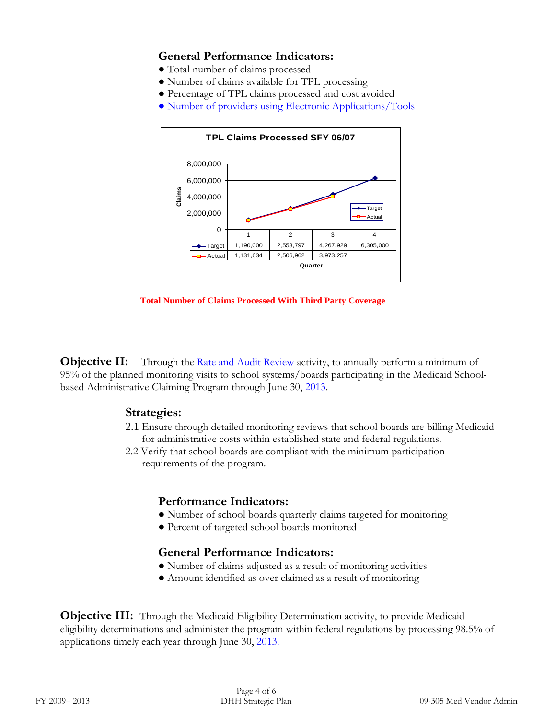### **General Performance Indicators:**

- Total number of claims processed
- Number of claims available for TPL processing
- Percentage of TPL claims processed and cost avoided
- Number of providers using Electronic Applications/Tools



**Total Number of Claims Processed With Third Party Coverage**

**Objective II:** Through the Rate and Audit Review activity, to annually perform a minimum of 95% of the planned monitoring visits to school systems/boards participating in the Medicaid Schoolbased Administrative Claiming Program through June 30, 2013.

#### **Strategies:**

- 2.1 Ensure through detailed monitoring reviews that school boards are billing Medicaid for administrative costs within established state and federal regulations.
- 2.2 Verify that school boards are compliant with the minimum participation requirements of the program.

#### **Performance Indicators:**

- Number of school boards quarterly claims targeted for monitoring
- Percent of targeted school boards monitored

#### **General Performance Indicators:**

- Number of claims adjusted as a result of monitoring activities
- Amount identified as over claimed as a result of monitoring

**Objective III:** Through the Medicaid Eligibility Determination activity, to provide Medicaid eligibility determinations and administer the program within federal regulations by processing 98.5% of applications timely each year through June 30, 2013.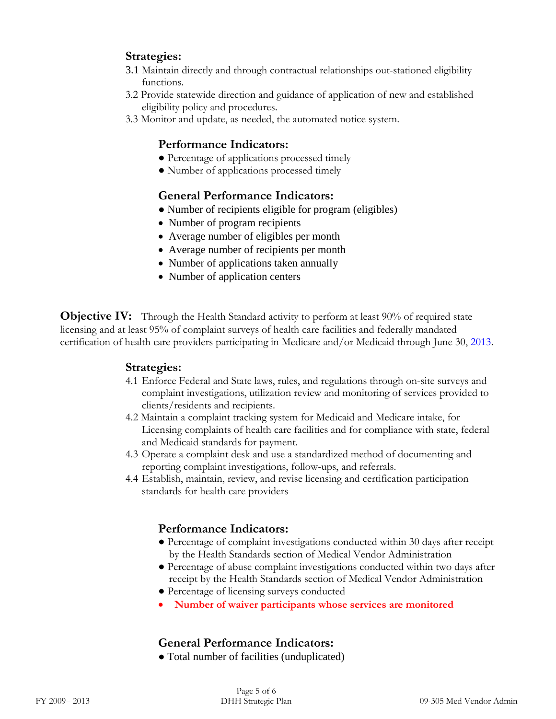## **Strategies:**

- 3.1 Maintain directly and through contractual relationships out-stationed eligibility functions.
- 3.2 Provide statewide direction and guidance of application of new and established eligibility policy and procedures.
- 3.3 Monitor and update, as needed, the automated notice system.

#### **Performance Indicators:**

- Percentage of applications processed timely
- Number of applications processed timely

#### **General Performance Indicators:**

- Number of recipients eligible for program (eligibles)
- Number of program recipients
- Average number of eligibles per month
- Average number of recipients per month
- Number of applications taken annually
- Number of application centers

**Objective IV:** Through the Health Standard activity to perform at least 90% of required state licensing and at least 95% of complaint surveys of health care facilities and federally mandated certification of health care providers participating in Medicare and/or Medicaid through June 30, 2013.

#### **Strategies:**

- 4.1 Enforce Federal and State laws, rules, and regulations through on-site surveys and complaint investigations, utilization review and monitoring of services provided to clients/residents and recipients.
- 4.2 Maintain a complaint tracking system for Medicaid and Medicare intake, for Licensing complaints of health care facilities and for compliance with state, federal and Medicaid standards for payment.
- 4.3 Operate a complaint desk and use a standardized method of documenting and reporting complaint investigations, follow-ups, and referrals.
- 4.4 Establish, maintain, review, and revise licensing and certification participation standards for health care providers

#### **Performance Indicators:**

- Percentage of complaint investigations conducted within 30 days after receipt by the Health Standards section of Medical Vendor Administration
- Percentage of abuse complaint investigations conducted within two days after receipt by the Health Standards section of Medical Vendor Administration
- Percentage of licensing surveys conducted
- **Number of waiver participants whose services are monitored**

## **General Performance Indicators:**

● Total number of facilities (unduplicated)